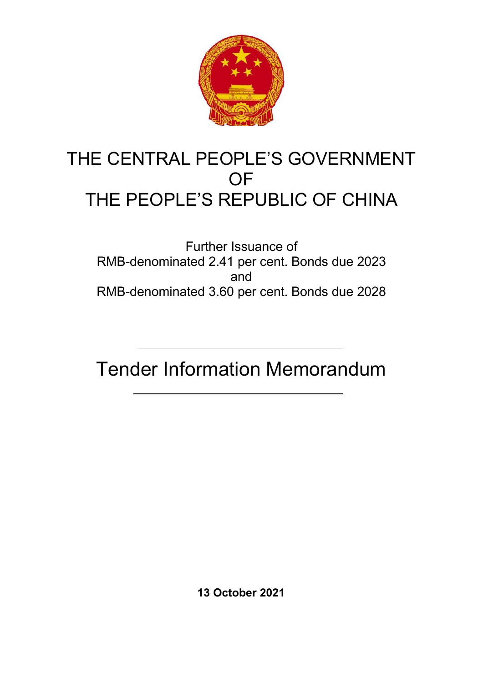

# THE CENTRAL PEOPLE'S GOVERNMENT **OF** THE PEOPLE'S REPUBLIC OF CHINA

Further Issuance of RMB-denominated 2.41 per cent. Bonds due 2023 and RMB-denominated 3.60 per cent. Bonds due 2028

Tender Information Memorandum

**13 October 2021**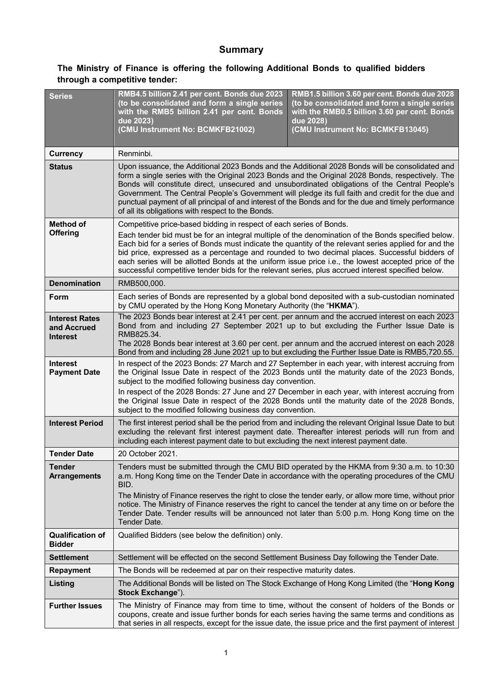# **Summary**

# **The Ministry of Finance is offering the following Additional Bonds to qualified bidders through a competitive tender:**

| <b>Series</b>                                           | RMB4.5 billion 2.41 per cent. Bonds due 2023<br>(to be consolidated and form a single series<br>with the RMB5 billion 2.41 per cent. Bonds<br>due 2023)<br>(CMU Instrument No: BCMKFB21002)                                                                                                                                                                                                                                                                                                                                                                                                      | RMB1.5 billion 3.60 per cent. Bonds due 2028<br>(to be consolidated and form a single series<br>with the RMB0.5 billion 3.60 per cent. Bonds<br>due 2028)<br>(CMU Instrument No: BCMKFB13045) |  |
|---------------------------------------------------------|--------------------------------------------------------------------------------------------------------------------------------------------------------------------------------------------------------------------------------------------------------------------------------------------------------------------------------------------------------------------------------------------------------------------------------------------------------------------------------------------------------------------------------------------------------------------------------------------------|-----------------------------------------------------------------------------------------------------------------------------------------------------------------------------------------------|--|
| <b>Currency</b>                                         | Renminbi.                                                                                                                                                                                                                                                                                                                                                                                                                                                                                                                                                                                        |                                                                                                                                                                                               |  |
| <b>Status</b>                                           | Upon issuance, the Additional 2023 Bonds and the Additional 2028 Bonds will be consolidated and<br>form a single series with the Original 2023 Bonds and the Original 2028 Bonds, respectively. The<br>Bonds will constitute direct, unsecured and unsubordinated obligations of the Central People's<br>Government. The Central People's Government will pledge its full faith and credit for the due and<br>punctual payment of all principal of and interest of the Bonds and for the due and timely performance<br>of all its obligations with respect to the Bonds.                         |                                                                                                                                                                                               |  |
| <b>Method of</b><br><b>Offering</b>                     | Competitive price-based bidding in respect of each series of Bonds.<br>Each tender bid must be for an integral multiple of the denomination of the Bonds specified below.<br>Each bid for a series of Bonds must indicate the quantity of the relevant series applied for and the<br>bid price, expressed as a percentage and rounded to two decimal places. Successful bidders of<br>each series will be allotted Bonds at the uniform issue price i.e., the lowest accepted price of the<br>successful competitive tender bids for the relevant series, plus accrued interest specified below. |                                                                                                                                                                                               |  |
| <b>Denomination</b>                                     | RMB500,000.                                                                                                                                                                                                                                                                                                                                                                                                                                                                                                                                                                                      |                                                                                                                                                                                               |  |
| Form                                                    | Each series of Bonds are represented by a global bond deposited with a sub-custodian nominated<br>by CMU operated by the Hong Kong Monetary Authority (the "HKMA").                                                                                                                                                                                                                                                                                                                                                                                                                              |                                                                                                                                                                                               |  |
| <b>Interest Rates</b><br>and Accrued<br><b>Interest</b> | The 2023 Bonds bear interest at 2.41 per cent. per annum and the accrued interest on each 2023<br>Bond from and including 27 September 2021 up to but excluding the Further Issue Date is<br>RMB825.34.<br>The 2028 Bonds bear interest at 3.60 per cent. per annum and the accrued interest on each 2028<br>Bond from and including 28 June 2021 up to but excluding the Further Issue Date is RMB5,720.55.                                                                                                                                                                                     |                                                                                                                                                                                               |  |
| <b>Interest</b><br><b>Payment Date</b>                  | In respect of the 2023 Bonds: 27 March and 27 September in each year, with interest accruing from<br>the Original Issue Date in respect of the 2023 Bonds until the maturity date of the 2023 Bonds,<br>subject to the modified following business day convention.<br>In respect of the 2028 Bonds: 27 June and 27 December in each year, with interest accruing from<br>the Original Issue Date in respect of the 2028 Bonds until the maturity date of the 2028 Bonds,<br>subject to the modified following business day convention.                                                           |                                                                                                                                                                                               |  |
| <b>Interest Period</b>                                  | The first interest period shall be the period from and including the relevant Original Issue Date to but<br>excluding the relevant first interest payment date. Thereafter interest periods will run from and<br>including each interest payment date to but excluding the next interest payment date.                                                                                                                                                                                                                                                                                           |                                                                                                                                                                                               |  |
| Tender Date                                             | 20 October 2021.                                                                                                                                                                                                                                                                                                                                                                                                                                                                                                                                                                                 |                                                                                                                                                                                               |  |
| <b>Tender</b><br><b>Arrangements</b>                    | Tenders must be submitted through the CMU BID operated by the HKMA from 9:30 a.m. to 10:30<br>a.m. Hong Kong time on the Tender Date in accordance with the operating procedures of the CMU<br>BID.<br>The Ministry of Finance reserves the right to close the tender early, or allow more time, without prior<br>notice. The Ministry of Finance reserves the right to cancel the tender at any time on or before the<br>Tender Date. Tender results will be announced not later than 5:00 p.m. Hong Kong time on the<br>Tender Date.                                                           |                                                                                                                                                                                               |  |
| <b>Qualification of</b><br><b>Bidder</b>                | Qualified Bidders (see below the definition) only.                                                                                                                                                                                                                                                                                                                                                                                                                                                                                                                                               |                                                                                                                                                                                               |  |
| <b>Settlement</b>                                       | Settlement will be effected on the second Settlement Business Day following the Tender Date.                                                                                                                                                                                                                                                                                                                                                                                                                                                                                                     |                                                                                                                                                                                               |  |
| <b>Repayment</b>                                        | The Bonds will be redeemed at par on their respective maturity dates.                                                                                                                                                                                                                                                                                                                                                                                                                                                                                                                            |                                                                                                                                                                                               |  |
| Listing                                                 | The Additional Bonds will be listed on The Stock Exchange of Hong Kong Limited (the "Hong Kong<br>Stock Exchange").                                                                                                                                                                                                                                                                                                                                                                                                                                                                              |                                                                                                                                                                                               |  |
| <b>Further Issues</b>                                   | The Ministry of Finance may from time to time, without the consent of holders of the Bonds or<br>coupons, create and issue further bonds for each series having the same terms and conditions as<br>that series in all respects, except for the issue date, the issue price and the first payment of interest                                                                                                                                                                                                                                                                                    |                                                                                                                                                                                               |  |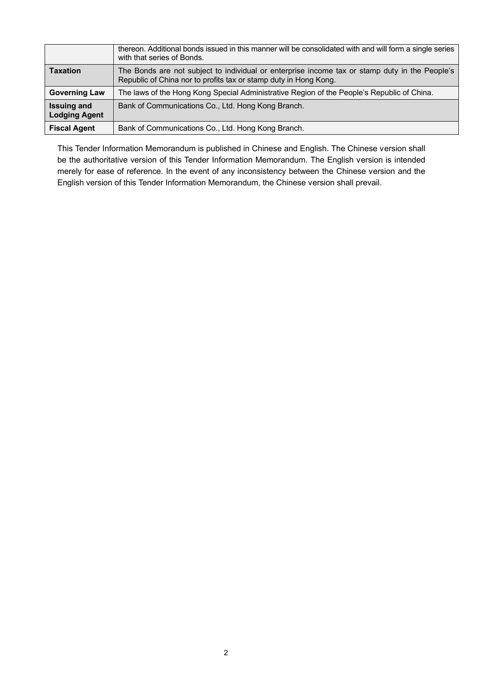|                                            | thereon. Additional bonds issued in this manner will be consolidated with and will form a single series<br>with that series of Bonds.                              |
|--------------------------------------------|--------------------------------------------------------------------------------------------------------------------------------------------------------------------|
| <b>Taxation</b>                            | The Bonds are not subject to individual or enterprise income tax or stamp duty in the People's<br>Republic of China nor to profits tax or stamp duty in Hong Kong. |
| <b>Governing Law</b>                       | The laws of the Hong Kong Special Administrative Region of the People's Republic of China.                                                                         |
| <b>Issuing and</b><br><b>Lodging Agent</b> | Bank of Communications Co., Ltd. Hong Kong Branch.                                                                                                                 |
| <b>Fiscal Agent</b>                        | Bank of Communications Co., Ltd. Hong Kong Branch.                                                                                                                 |

This Tender Information Memorandum is published in Chinese and English. The Chinese version shall be the authoritative version of this Tender Information Memorandum. The English version is intended merely for ease of reference. In the event of any inconsistency between the Chinese version and the English version of this Tender Information Memorandum, the Chinese version shall prevail.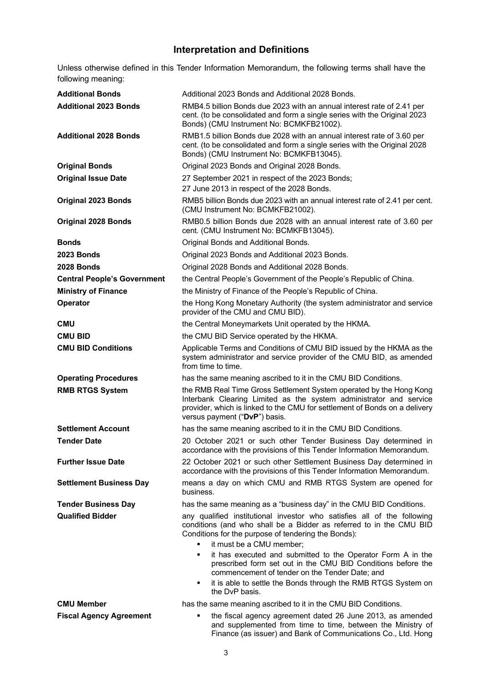### **Interpretation and Definitions**

Unless otherwise defined in this Tender Information Memorandum, the following terms shall have the following meaning:

| <b>Additional Bonds</b>            | Additional 2023 Bonds and Additional 2028 Bonds.                                                                                                                                                                                                                                                                                                                                                                                                                                                           |  |  |
|------------------------------------|------------------------------------------------------------------------------------------------------------------------------------------------------------------------------------------------------------------------------------------------------------------------------------------------------------------------------------------------------------------------------------------------------------------------------------------------------------------------------------------------------------|--|--|
| <b>Additional 2023 Bonds</b>       | RMB4.5 billion Bonds due 2023 with an annual interest rate of 2.41 per<br>cent. (to be consolidated and form a single series with the Original 2023<br>Bonds) (CMU Instrument No: BCMKFB21002).                                                                                                                                                                                                                                                                                                            |  |  |
| <b>Additional 2028 Bonds</b>       | RMB1.5 billion Bonds due 2028 with an annual interest rate of 3.60 per<br>cent. (to be consolidated and form a single series with the Original 2028<br>Bonds) (CMU Instrument No: BCMKFB13045).                                                                                                                                                                                                                                                                                                            |  |  |
| <b>Original Bonds</b>              | Original 2023 Bonds and Original 2028 Bonds.                                                                                                                                                                                                                                                                                                                                                                                                                                                               |  |  |
| <b>Original Issue Date</b>         | 27 September 2021 in respect of the 2023 Bonds;<br>27 June 2013 in respect of the 2028 Bonds.                                                                                                                                                                                                                                                                                                                                                                                                              |  |  |
| <b>Original 2023 Bonds</b>         | RMB5 billion Bonds due 2023 with an annual interest rate of 2.41 per cent.<br>(CMU Instrument No: BCMKFB21002).                                                                                                                                                                                                                                                                                                                                                                                            |  |  |
| <b>Original 2028 Bonds</b>         | RMB0.5 billion Bonds due 2028 with an annual interest rate of 3.60 per<br>cent. (CMU Instrument No: BCMKFB13045).                                                                                                                                                                                                                                                                                                                                                                                          |  |  |
| <b>Bonds</b>                       | Original Bonds and Additional Bonds.                                                                                                                                                                                                                                                                                                                                                                                                                                                                       |  |  |
| 2023 Bonds                         | Original 2023 Bonds and Additional 2023 Bonds.                                                                                                                                                                                                                                                                                                                                                                                                                                                             |  |  |
| 2028 Bonds                         | Original 2028 Bonds and Additional 2028 Bonds.                                                                                                                                                                                                                                                                                                                                                                                                                                                             |  |  |
| <b>Central People's Government</b> | the Central People's Government of the People's Republic of China.                                                                                                                                                                                                                                                                                                                                                                                                                                         |  |  |
| <b>Ministry of Finance</b>         | the Ministry of Finance of the People's Republic of China.                                                                                                                                                                                                                                                                                                                                                                                                                                                 |  |  |
| Operator                           | the Hong Kong Monetary Authority (the system administrator and service<br>provider of the CMU and CMU BID).                                                                                                                                                                                                                                                                                                                                                                                                |  |  |
| <b>CMU</b>                         | the Central Moneymarkets Unit operated by the HKMA.                                                                                                                                                                                                                                                                                                                                                                                                                                                        |  |  |
| <b>CMU BID</b>                     | the CMU BID Service operated by the HKMA.                                                                                                                                                                                                                                                                                                                                                                                                                                                                  |  |  |
| <b>CMU BID Conditions</b>          | Applicable Terms and Conditions of CMU BID issued by the HKMA as the<br>system administrator and service provider of the CMU BID, as amended<br>from time to time.                                                                                                                                                                                                                                                                                                                                         |  |  |
| <b>Operating Procedures</b>        | has the same meaning ascribed to it in the CMU BID Conditions.                                                                                                                                                                                                                                                                                                                                                                                                                                             |  |  |
| <b>RMB RTGS System</b>             | the RMB Real Time Gross Settlement System operated by the Hong Kong<br>Interbank Clearing Limited as the system administrator and service<br>provider, which is linked to the CMU for settlement of Bonds on a delivery<br>versus payment ("DvP") basis.                                                                                                                                                                                                                                                   |  |  |
| <b>Settlement Account</b>          | has the same meaning ascribed to it in the CMU BID Conditions.                                                                                                                                                                                                                                                                                                                                                                                                                                             |  |  |
| <b>Tender Date</b>                 | 20 October 2021 or such other Tender Business Day determined in<br>accordance with the provisions of this Tender Information Memorandum.                                                                                                                                                                                                                                                                                                                                                                   |  |  |
| <b>Further Issue Date</b>          | 22 October 2021 or such other Settlement Business Day determined in<br>accordance with the provisions of this Tender Information Memorandum.                                                                                                                                                                                                                                                                                                                                                               |  |  |
| <b>Settlement Business Day</b>     | means a day on which CMU and RMB RTGS System are opened for<br>business.                                                                                                                                                                                                                                                                                                                                                                                                                                   |  |  |
| <b>Tender Business Day</b>         | has the same meaning as a "business day" in the CMU BID Conditions.                                                                                                                                                                                                                                                                                                                                                                                                                                        |  |  |
| <b>Qualified Bidder</b>            | any qualified institutional investor who satisfies all of the following<br>conditions (and who shall be a Bidder as referred to in the CMU BID<br>Conditions for the purpose of tendering the Bonds):<br>it must be a CMU member;<br>it has executed and submitted to the Operator Form A in the<br>٠<br>prescribed form set out in the CMU BID Conditions before the<br>commencement of tender on the Tender Date; and<br>it is able to settle the Bonds through the RMB RTGS System on<br>the DvP basis. |  |  |
| <b>CMU Member</b>                  | has the same meaning ascribed to it in the CMU BID Conditions.                                                                                                                                                                                                                                                                                                                                                                                                                                             |  |  |
| <b>Fiscal Agency Agreement</b>     | the fiscal agency agreement dated 26 June 2013, as amended<br>and supplemented from time to time, between the Ministry of                                                                                                                                                                                                                                                                                                                                                                                  |  |  |

Finance (as issuer) and Bank of Communications Co., Ltd. Hong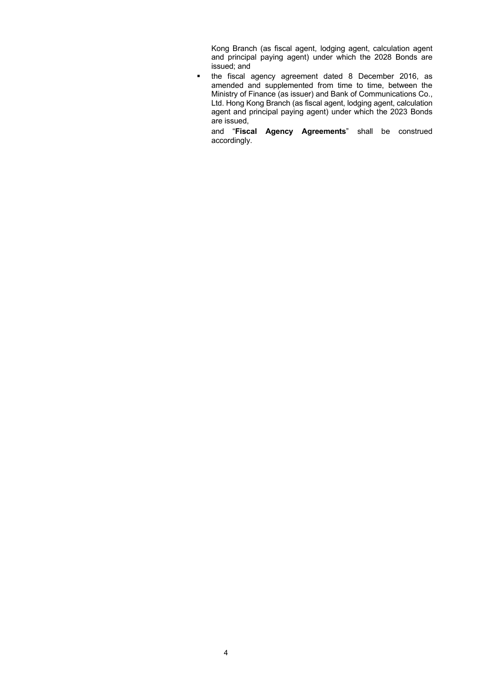Kong Branch (as fiscal agent, lodging agent, calculation agent and principal paying agent) under which the 2028 Bonds are issued; and

 the fiscal agency agreement dated 8 December 2016, as amended and supplemented from time to time, between the Ministry of Finance (as issuer) and Bank of Communications Co., Ltd. Hong Kong Branch (as fiscal agent, lodging agent, calculation agent and principal paying agent) under which the 2023 Bonds are issued,

and "**Fiscal Agency Agreements**" shall be construed accordingly.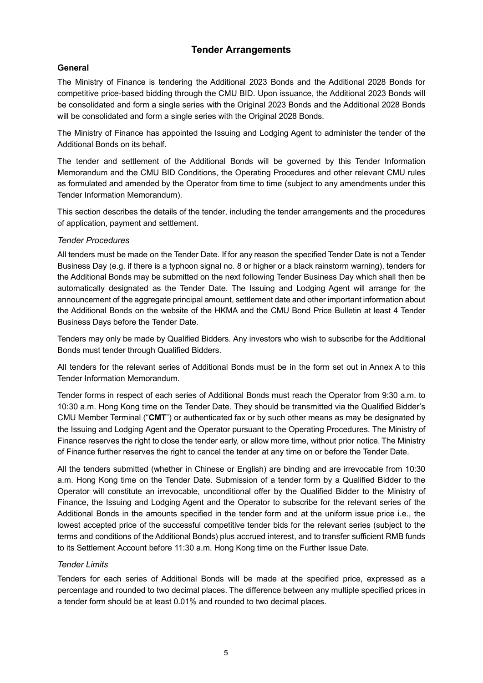### **Tender Arrangements**

#### **General**

The Ministry of Finance is tendering the Additional 2023 Bonds and the Additional 2028 Bonds for competitive price-based bidding through the CMU BID. Upon issuance, the Additional 2023 Bonds will be consolidated and form a single series with the Original 2023 Bonds and the Additional 2028 Bonds will be consolidated and form a single series with the Original 2028 Bonds.

The Ministry of Finance has appointed the Issuing and Lodging Agent to administer the tender of the Additional Bonds on its behalf.

The tender and settlement of the Additional Bonds will be governed by this Tender Information Memorandum and the CMU BID Conditions, the Operating Procedures and other relevant CMU rules as formulated and amended by the Operator from time to time (subject to any amendments under this Tender Information Memorandum).

This section describes the details of the tender, including the tender arrangements and the procedures of application, payment and settlement.

#### *Tender Procedures*

All tenders must be made on the Tender Date. If for any reason the specified Tender Date is not a Tender Business Day (e.g. if there is a typhoon signal no. 8 or higher or a black rainstorm warning), tenders for the Additional Bonds may be submitted on the next following Tender Business Day which shall then be automatically designated as the Tender Date. The Issuing and Lodging Agent will arrange for the announcement of the aggregate principal amount, settlement date and other important information about the Additional Bonds on the website of the HKMA and the CMU Bond Price Bulletin at least 4 Tender Business Days before the Tender Date.

Tenders may only be made by Qualified Bidders. Any investors who wish to subscribe for the Additional Bonds must tender through Qualified Bidders.

All tenders for the relevant series of Additional Bonds must be in the form set out in Annex A to this Tender Information Memorandum.

Tender forms in respect of each series of Additional Bonds must reach the Operator from 9:30 a.m. to 10:30 a.m. Hong Kong time on the Tender Date. They should be transmitted via the Qualified Bidder's CMU Member Terminal ("**CMT**") or authenticated fax or by such other means as may be designated by the Issuing and Lodging Agent and the Operator pursuant to the Operating Procedures. The Ministry of Finance reserves the right to close the tender early, or allow more time, without prior notice. The Ministry of Finance further reserves the right to cancel the tender at any time on or before the Tender Date.

All the tenders submitted (whether in Chinese or English) are binding and are irrevocable from 10:30 a.m. Hong Kong time on the Tender Date. Submission of a tender form by a Qualified Bidder to the Operator will constitute an irrevocable, unconditional offer by the Qualified Bidder to the Ministry of Finance, the Issuing and Lodging Agent and the Operator to subscribe for the relevant series of the Additional Bonds in the amounts specified in the tender form and at the uniform issue price i.e., the lowest accepted price of the successful competitive tender bids for the relevant series (subject to the terms and conditions of the Additional Bonds) plus accrued interest, and to transfer sufficient RMB funds to its Settlement Account before 11:30 a.m. Hong Kong time on the Further Issue Date.

#### *Tender Limits*

Tenders for each series of Additional Bonds will be made at the specified price, expressed as a percentage and rounded to two decimal places. The difference between any multiple specified prices in a tender form should be at least 0.01% and rounded to two decimal places.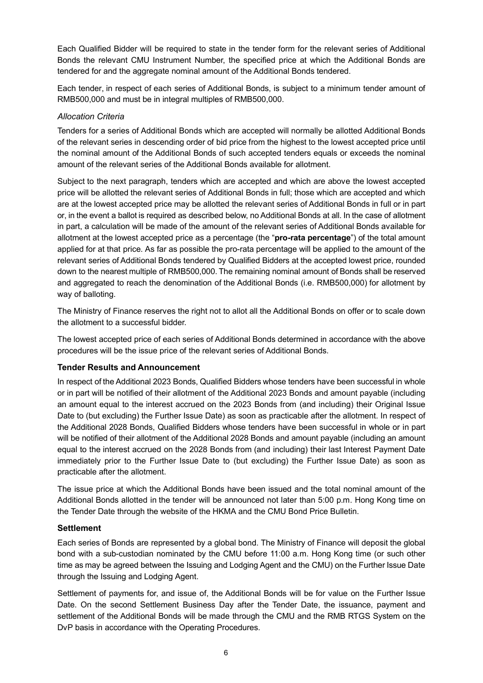Each Qualified Bidder will be required to state in the tender form for the relevant series of Additional Bonds the relevant CMU Instrument Number, the specified price at which the Additional Bonds are tendered for and the aggregate nominal amount of the Additional Bonds tendered.

Each tender, in respect of each series of Additional Bonds, is subject to a minimum tender amount of RMB500,000 and must be in integral multiples of RMB500,000.

#### *Allocation Criteria*

Tenders for a series of Additional Bonds which are accepted will normally be allotted Additional Bonds of the relevant series in descending order of bid price from the highest to the lowest accepted price until the nominal amount of the Additional Bonds of such accepted tenders equals or exceeds the nominal amount of the relevant series of the Additional Bonds available for allotment.

Subject to the next paragraph, tenders which are accepted and which are above the lowest accepted price will be allotted the relevant series of Additional Bonds in full; those which are accepted and which are at the lowest accepted price may be allotted the relevant series of Additional Bonds in full or in part or, in the event a ballot is required as described below, no Additional Bonds at all. In the case of allotment in part, a calculation will be made of the amount of the relevant series of Additional Bonds available for allotment at the lowest accepted price as a percentage (the "**pro-rata percentage**") of the total amount applied for at that price. As far as possible the pro-rata percentage will be applied to the amount of the relevant series of Additional Bonds tendered by Qualified Bidders at the accepted lowest price, rounded down to the nearest multiple of RMB500,000. The remaining nominal amount of Bonds shall be reserved and aggregated to reach the denomination of the Additional Bonds (i.e. RMB500,000) for allotment by way of balloting.

The Ministry of Finance reserves the right not to allot all the Additional Bonds on offer or to scale down the allotment to a successful bidder.

The lowest accepted price of each series of Additional Bonds determined in accordance with the above procedures will be the issue price of the relevant series of Additional Bonds.

#### **Tender Results and Announcement**

In respect of the Additional 2023 Bonds, Qualified Bidders whose tenders have been successful in whole or in part will be notified of their allotment of the Additional 2023 Bonds and amount payable (including an amount equal to the interest accrued on the 2023 Bonds from (and including) their Original Issue Date to (but excluding) the Further Issue Date) as soon as practicable after the allotment. In respect of the Additional 2028 Bonds, Qualified Bidders whose tenders have been successful in whole or in part will be notified of their allotment of the Additional 2028 Bonds and amount payable (including an amount equal to the interest accrued on the 2028 Bonds from (and including) their last Interest Payment Date immediately prior to the Further Issue Date to (but excluding) the Further Issue Date) as soon as practicable after the allotment.

The issue price at which the Additional Bonds have been issued and the total nominal amount of the Additional Bonds allotted in the tender will be announced not later than 5:00 p.m. Hong Kong time on the Tender Date through the website of the HKMA and the CMU Bond Price Bulletin.

#### **Settlement**

Each series of Bonds are represented by a global bond. The Ministry of Finance will deposit the global bond with a sub-custodian nominated by the CMU before 11:00 a.m. Hong Kong time (or such other time as may be agreed between the Issuing and Lodging Agent and the CMU) on the Further Issue Date through the Issuing and Lodging Agent.

Settlement of payments for, and issue of, the Additional Bonds will be for value on the Further Issue Date. On the second Settlement Business Day after the Tender Date, the issuance, payment and settlement of the Additional Bonds will be made through the CMU and the RMB RTGS System on the DvP basis in accordance with the Operating Procedures.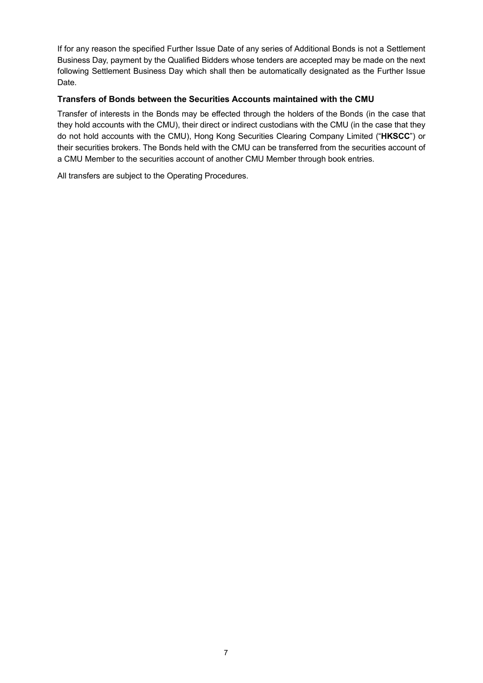If for any reason the specified Further Issue Date of any series of Additional Bonds is not a Settlement Business Day, payment by the Qualified Bidders whose tenders are accepted may be made on the next following Settlement Business Day which shall then be automatically designated as the Further Issue Date.

#### **Transfers of Bonds between the Securities Accounts maintained with the CMU**

Transfer of interests in the Bonds may be effected through the holders of the Bonds (in the case that they hold accounts with the CMU), their direct or indirect custodians with the CMU (in the case that they do not hold accounts with the CMU), Hong Kong Securities Clearing Company Limited ("**HKSCC**") or their securities brokers. The Bonds held with the CMU can be transferred from the securities account of a CMU Member to the securities account of another CMU Member through book entries.

All transfers are subject to the Operating Procedures.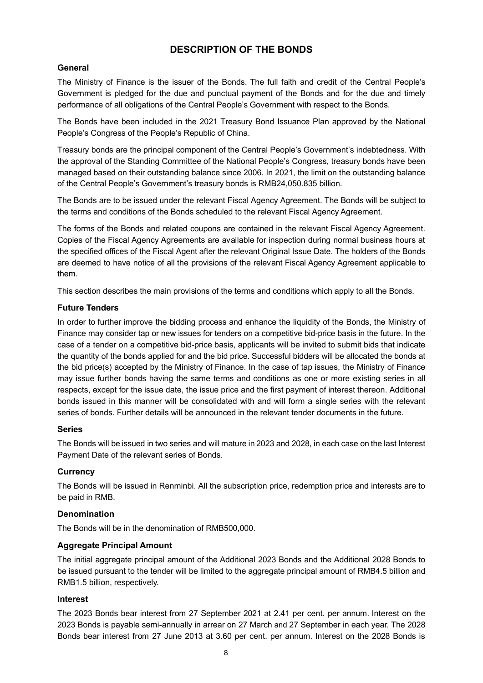## **DESCRIPTION OF THE BONDS**

#### **General**

The Ministry of Finance is the issuer of the Bonds. The full faith and credit of the Central People's Government is pledged for the due and punctual payment of the Bonds and for the due and timely performance of all obligations of the Central People's Government with respect to the Bonds.

The Bonds have been included in the 2021 Treasury Bond Issuance Plan approved by the National People's Congress of the People's Republic of China.

Treasury bonds are the principal component of the Central People's Government's indebtedness. With the approval of the Standing Committee of the National People's Congress, treasury bonds have been managed based on their outstanding balance since 2006. In 2021, the limit on the outstanding balance of the Central People's Government's treasury bonds is RMB24,050.835 billion.

The Bonds are to be issued under the relevant Fiscal Agency Agreement. The Bonds will be subject to the terms and conditions of the Bonds scheduled to the relevant Fiscal Agency Agreement.

The forms of the Bonds and related coupons are contained in the relevant Fiscal Agency Agreement. Copies of the Fiscal Agency Agreements are available for inspection during normal business hours at the specified offices of the Fiscal Agent after the relevant Original Issue Date. The holders of the Bonds are deemed to have notice of all the provisions of the relevant Fiscal Agency Agreement applicable to them.

This section describes the main provisions of the terms and conditions which apply to all the Bonds.

#### **Future Tenders**

In order to further improve the bidding process and enhance the liquidity of the Bonds, the Ministry of Finance may consider tap or new issues for tenders on a competitive bid-price basis in the future. In the case of a tender on a competitive bid-price basis, applicants will be invited to submit bids that indicate the quantity of the bonds applied for and the bid price. Successful bidders will be allocated the bonds at the bid price(s) accepted by the Ministry of Finance. In the case of tap issues, the Ministry of Finance may issue further bonds having the same terms and conditions as one or more existing series in all respects, except for the issue date, the issue price and the first payment of interest thereon. Additional bonds issued in this manner will be consolidated with and will form a single series with the relevant series of bonds. Further details will be announced in the relevant tender documents in the future.

#### **Series**

The Bonds will be issued in two series and will mature in 2023 and 2028, in each case on the last Interest Payment Date of the relevant series of Bonds.

#### **Currency**

The Bonds will be issued in Renminbi. All the subscription price, redemption price and interests are to be paid in RMB.

#### **Denomination**

The Bonds will be in the denomination of RMB500,000.

#### **Aggregate Principal Amount**

The initial aggregate principal amount of the Additional 2023 Bonds and the Additional 2028 Bonds to be issued pursuant to the tender will be limited to the aggregate principal amount of RMB4.5 billion and RMB1.5 billion, respectively.

#### **Interest**

The 2023 Bonds bear interest from 27 September 2021 at 2.41 per cent. per annum. Interest on the 2023 Bonds is payable semi-annually in arrear on 27 March and 27 September in each year. The 2028 Bonds bear interest from 27 June 2013 at 3.60 per cent. per annum. Interest on the 2028 Bonds is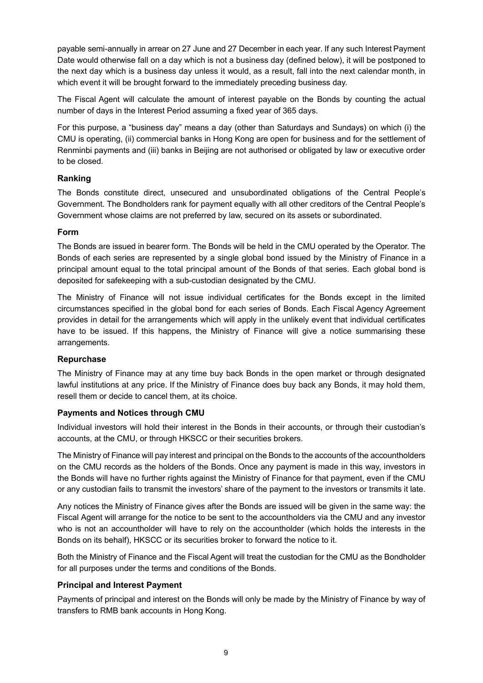payable semi-annually in arrear on 27 June and 27 December in each year. If any such Interest Payment Date would otherwise fall on a day which is not a business day (defined below), it will be postponed to the next day which is a business day unless it would, as a result, fall into the next calendar month, in which event it will be brought forward to the immediately preceding business day.

The Fiscal Agent will calculate the amount of interest payable on the Bonds by counting the actual number of days in the Interest Period assuming a fixed year of 365 days.

For this purpose, a "business day" means a day (other than Saturdays and Sundays) on which (i) the CMU is operating, (ii) commercial banks in Hong Kong are open for business and for the settlement of Renminbi payments and (iii) banks in Beijing are not authorised or obligated by law or executive order to be closed.

#### **Ranking**

The Bonds constitute direct, unsecured and unsubordinated obligations of the Central People's Government. The Bondholders rank for payment equally with all other creditors of the Central People's Government whose claims are not preferred by law, secured on its assets or subordinated.

#### **Form**

The Bonds are issued in bearer form. The Bonds will be held in the CMU operated by the Operator. The Bonds of each series are represented by a single global bond issued by the Ministry of Finance in a principal amount equal to the total principal amount of the Bonds of that series. Each global bond is deposited for safekeeping with a sub-custodian designated by the CMU.

The Ministry of Finance will not issue individual certificates for the Bonds except in the limited circumstances specified in the global bond for each series of Bonds. Each Fiscal Agency Agreement provides in detail for the arrangements which will apply in the unlikely event that individual certificates have to be issued. If this happens, the Ministry of Finance will give a notice summarising these arrangements.

#### **Repurchase**

The Ministry of Finance may at any time buy back Bonds in the open market or through designated lawful institutions at any price. If the Ministry of Finance does buy back any Bonds, it may hold them, resell them or decide to cancel them, at its choice.

#### **Payments and Notices through CMU**

Individual investors will hold their interest in the Bonds in their accounts, or through their custodian's accounts, at the CMU, or through HKSCC or their securities brokers.

The Ministry of Finance will pay interest and principal on the Bonds to the accounts of the accountholders on the CMU records as the holders of the Bonds. Once any payment is made in this way, investors in the Bonds will have no further rights against the Ministry of Finance for that payment, even if the CMU or any custodian fails to transmit the investors' share of the payment to the investors or transmits it late.

Any notices the Ministry of Finance gives after the Bonds are issued will be given in the same way: the Fiscal Agent will arrange for the notice to be sent to the accountholders via the CMU and any investor who is not an accountholder will have to rely on the accountholder (which holds the interests in the Bonds on its behalf), HKSCC or its securities broker to forward the notice to it.

Both the Ministry of Finance and the Fiscal Agent will treat the custodian for the CMU as the Bondholder for all purposes under the terms and conditions of the Bonds.

#### **Principal and Interest Payment**

Payments of principal and interest on the Bonds will only be made by the Ministry of Finance by way of transfers to RMB bank accounts in Hong Kong.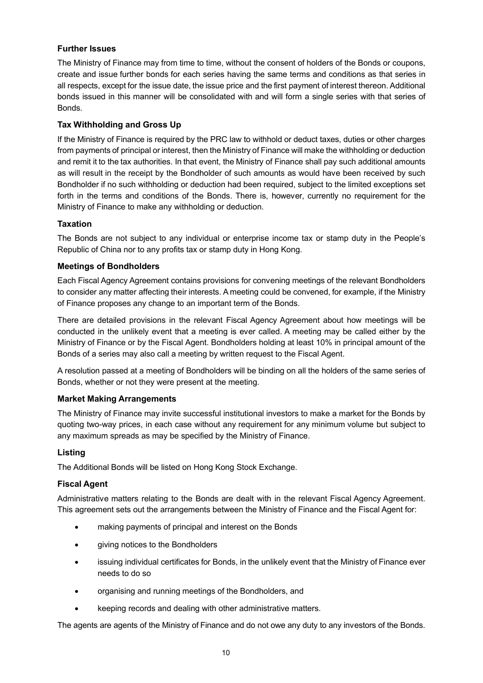#### **Further Issues**

The Ministry of Finance may from time to time, without the consent of holders of the Bonds or coupons, create and issue further bonds for each series having the same terms and conditions as that series in all respects, except for the issue date, the issue price and the first payment of interest thereon. Additional bonds issued in this manner will be consolidated with and will form a single series with that series of Bonds.

#### **Tax Withholding and Gross Up**

If the Ministry of Finance is required by the PRC law to withhold or deduct taxes, duties or other charges from payments of principal or interest, then the Ministry of Finance will make the withholding or deduction and remit it to the tax authorities. In that event, the Ministry of Finance shall pay such additional amounts as will result in the receipt by the Bondholder of such amounts as would have been received by such Bondholder if no such withholding or deduction had been required, subject to the limited exceptions set forth in the terms and conditions of the Bonds. There is, however, currently no requirement for the Ministry of Finance to make any withholding or deduction.

#### **Taxation**

The Bonds are not subject to any individual or enterprise income tax or stamp duty in the People's Republic of China nor to any profits tax or stamp duty in Hong Kong.

#### **Meetings of Bondholders**

Each Fiscal Agency Agreement contains provisions for convening meetings of the relevant Bondholders to consider any matter affecting their interests. A meeting could be convened, for example, if the Ministry of Finance proposes any change to an important term of the Bonds.

There are detailed provisions in the relevant Fiscal Agency Agreement about how meetings will be conducted in the unlikely event that a meeting is ever called. A meeting may be called either by the Ministry of Finance or by the Fiscal Agent. Bondholders holding at least 10% in principal amount of the Bonds of a series may also call a meeting by written request to the Fiscal Agent.

A resolution passed at a meeting of Bondholders will be binding on all the holders of the same series of Bonds, whether or not they were present at the meeting.

#### **Market Making Arrangements**

The Ministry of Finance may invite successful institutional investors to make a market for the Bonds by quoting two-way prices, in each case without any requirement for any minimum volume but subject to any maximum spreads as may be specified by the Ministry of Finance.

#### **Listing**

The Additional Bonds will be listed on Hong Kong Stock Exchange.

#### **Fiscal Agent**

Administrative matters relating to the Bonds are dealt with in the relevant Fiscal Agency Agreement. This agreement sets out the arrangements between the Ministry of Finance and the Fiscal Agent for:

- making payments of principal and interest on the Bonds
- giving notices to the Bondholders
- issuing individual certificates for Bonds, in the unlikely event that the Ministry of Finance ever needs to do so
- organising and running meetings of the Bondholders, and
- keeping records and dealing with other administrative matters.

The agents are agents of the Ministry of Finance and do not owe any duty to any investors of the Bonds.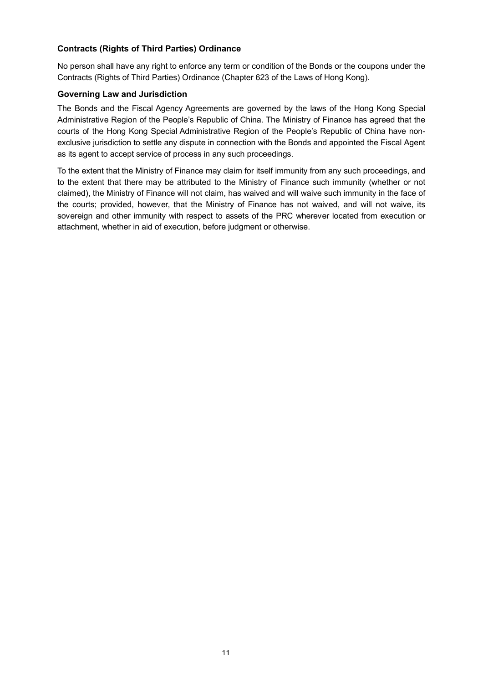#### **Contracts (Rights of Third Parties) Ordinance**

No person shall have any right to enforce any term or condition of the Bonds or the coupons under the Contracts (Rights of Third Parties) Ordinance (Chapter 623 of the Laws of Hong Kong).

#### **Governing Law and Jurisdiction**

The Bonds and the Fiscal Agency Agreements are governed by the laws of the Hong Kong Special Administrative Region of the People's Republic of China. The Ministry of Finance has agreed that the courts of the Hong Kong Special Administrative Region of the People's Republic of China have nonexclusive jurisdiction to settle any dispute in connection with the Bonds and appointed the Fiscal Agent as its agent to accept service of process in any such proceedings.

To the extent that the Ministry of Finance may claim for itself immunity from any such proceedings, and to the extent that there may be attributed to the Ministry of Finance such immunity (whether or not claimed), the Ministry of Finance will not claim, has waived and will waive such immunity in the face of the courts; provided, however, that the Ministry of Finance has not waived, and will not waive, its sovereign and other immunity with respect to assets of the PRC wherever located from execution or attachment, whether in aid of execution, before judgment or otherwise.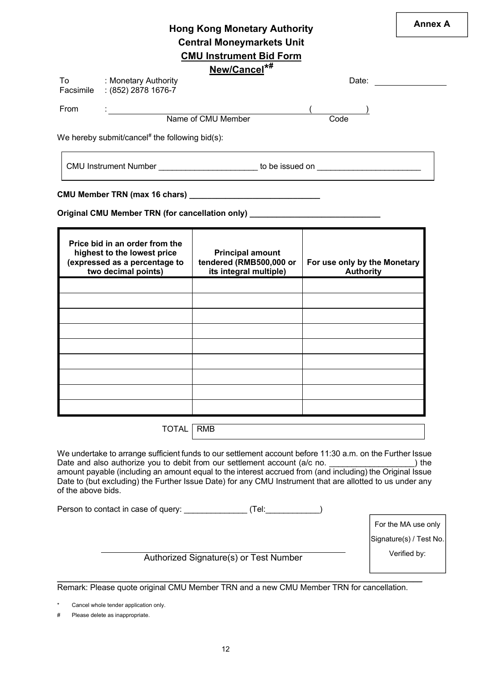# **Annex A Hong Kong Monetary Authority Central Moneymarkets Unit CMU Instrument Bid Form**

# **New/Cancel\*#**

| To   | : Monetary Authority                                          | Date: |  |
|------|---------------------------------------------------------------|-------|--|
|      | Facsimile : (852) 2878 1676-7                                 |       |  |
| From |                                                               |       |  |
|      | Name of CMU Member                                            | Code  |  |
|      | We hereby submit/cancel# the following bid(s): $\blacksquare$ |       |  |

We hereby submit/cancel# the following bid(s):

CMU Instrument Number \_\_\_\_\_\_\_\_\_\_\_\_\_\_\_\_\_\_\_\_\_\_\_\_ to be issued on \_\_\_\_\_\_\_\_\_\_\_\_\_\_\_\_\_

#### **CMU Member TRN (max 16 chars) \_\_\_\_\_\_\_\_\_\_\_\_\_\_\_\_\_\_\_\_\_\_\_\_\_\_\_\_\_**

**Original CMU Member TRN (for cancellation only) \_\_\_\_\_\_\_\_\_\_\_\_\_\_\_\_\_\_\_\_\_\_\_\_\_\_\_\_\_**

| Price bid in an order from the<br>highest to the lowest price<br>(expressed as a percentage to<br>two decimal points) | <b>Principal amount</b><br>tendered (RMB500,000 or<br>its integral multiple) | For use only by the Monetary<br><b>Authority</b> |
|-----------------------------------------------------------------------------------------------------------------------|------------------------------------------------------------------------------|--------------------------------------------------|
|                                                                                                                       |                                                                              |                                                  |
|                                                                                                                       |                                                                              |                                                  |
|                                                                                                                       |                                                                              |                                                  |
|                                                                                                                       |                                                                              |                                                  |
|                                                                                                                       |                                                                              |                                                  |
|                                                                                                                       |                                                                              |                                                  |
|                                                                                                                       |                                                                              |                                                  |
|                                                                                                                       |                                                                              |                                                  |
|                                                                                                                       |                                                                              |                                                  |

TOTAL RMB

We undertake to arrange sufficient funds to our settlement account before 11:30 a.m. on the Further Issue Date and also authorize you to debit from our settlement account (a/c no. \_\_\_\_\_\_\_\_\_\_\_\_\_\_\_\_\_\_\_) the amount payable (including an amount equal to the interest accrued from (and including) the Original Issue Date to (but excluding) the Further Issue Date) for any CMU Instrument that are allotted to us under any of the above bids.

Person to contact in case of query:  $(Tel:$ 

For the MA use only

Signature(s) / Test No.

Verified by: Authorized Signature(s) or Test Number

**\_\_\_\_\_\_\_\_\_\_\_\_\_\_\_\_\_\_\_\_\_\_\_\_\_\_\_\_\_\_\_\_\_\_\_\_\_\_\_\_\_\_\_\_\_\_\_\_\_\_\_\_\_\_\_\_\_\_\_\_\_\_\_\_\_\_\_\_\_\_\_\_\_\_\_\_\_\_\_\_\_** Remark: Please quote original CMU Member TRN and a new CMU Member TRN for cancellation.

Cancel whole tender application only.

# Please delete as inappropriate.